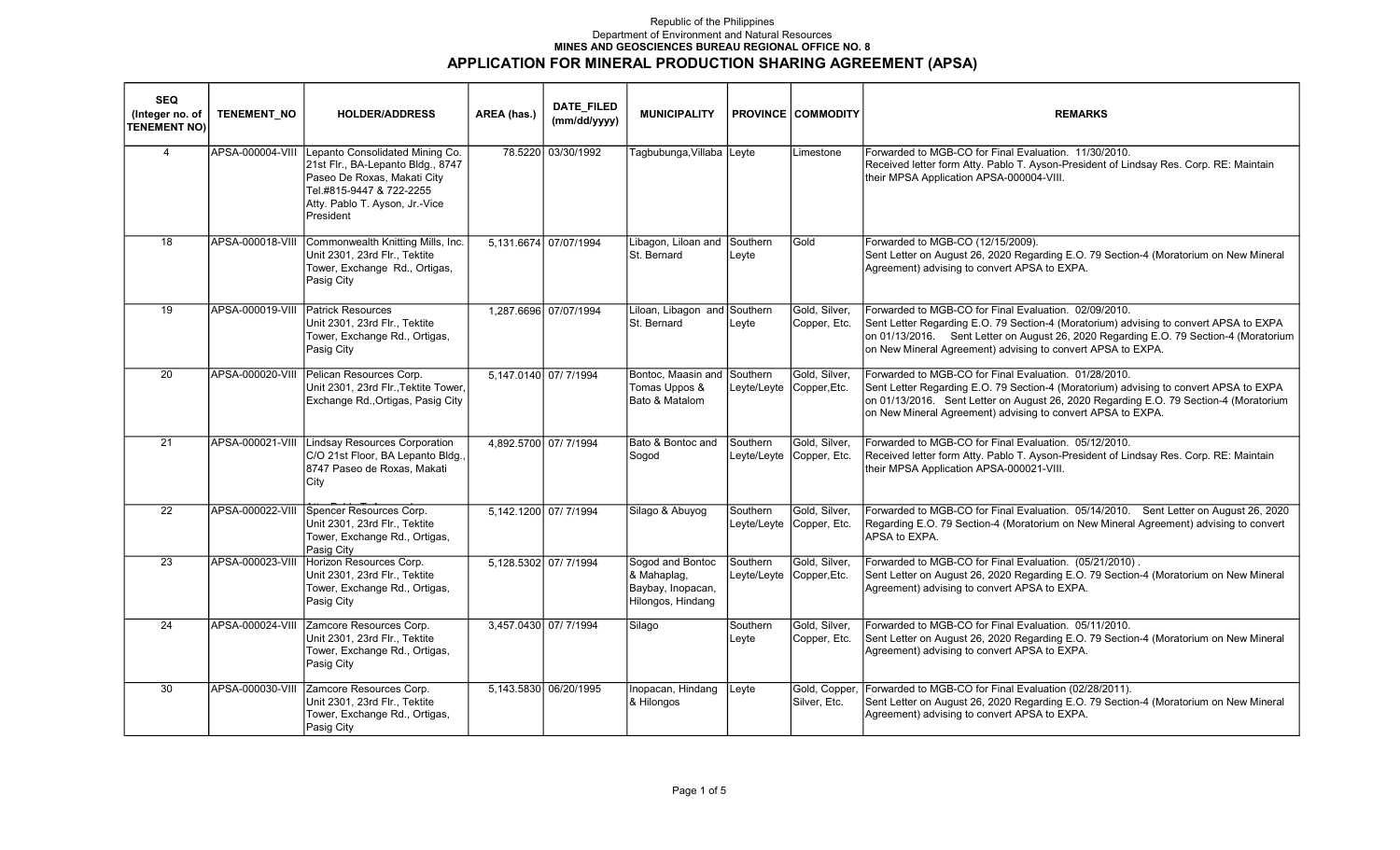## Republic of the Philippines Department of Environment and Natural Resources MINES AND GEOSCIENCES BUREAU REGIONAL OFFICE NO. 8 APPLICATION FOR MINERAL PRODUCTION SHARING AGREEMENT (APSA)

| <b>SEQ</b><br>(Integer no. of<br><b>TENEMENT NO)</b> | <b>TENEMENT NO</b> | <b>HOLDER/ADDRESS</b>                                                                                                                                                          | AREA (has.)          | DATE_FILED<br>(mm/dd/yyyy) | <b>MUNICIPALITY</b>                                                       |                   | <b>PROVINCE COMMODITY</b>                 | <b>REMARKS</b>                                                                                                                                                                                                                                                                                         |
|------------------------------------------------------|--------------------|--------------------------------------------------------------------------------------------------------------------------------------------------------------------------------|----------------------|----------------------------|---------------------------------------------------------------------------|-------------------|-------------------------------------------|--------------------------------------------------------------------------------------------------------------------------------------------------------------------------------------------------------------------------------------------------------------------------------------------------------|
| $\overline{4}$                                       | APSA-000004-VIII   | Lepanto Consolidated Mining Co.<br>21st Flr., BA-Lepanto Bldg., 8747<br>Paseo De Roxas, Makati City<br>Tel.#815-9447 & 722-2255<br>Atty. Pablo T. Ayson, Jr.-Vice<br>President |                      | 78.5220 03/30/1992         | Tagbubunga,Villaba Leyte                                                  |                   | Limestone                                 | IForwarded to MGB-CO for Final Evaluation. 11/30/2010.<br>Received letter form Atty. Pablo T. Ayson-President of Lindsay Res. Corp. RE: Maintain<br>their MPSA Application APSA-000004-VIII.                                                                                                           |
| 18                                                   | APSA-000018-VIII   | Commonwealth Knitting Mills, Inc.<br>Unit 2301, 23rd Flr., Tektite<br>Tower, Exchange Rd., Ortigas,<br>Pasig City                                                              |                      | 5.131.6674 07/07/1994      | Libagon, Liloan and<br>St. Bernard                                        | Southern<br>Leyte | Gold                                      | Forwarded to MGB-CO (12/15/2009).<br>Sent Letter on August 26, 2020 Regarding E.O. 79 Section-4 (Moratorium on New Mineral<br>Agreement) advising to convert APSA to EXPA.                                                                                                                             |
| 19                                                   | APSA-000019-VIII   | <b>Patrick Resources</b><br>Unit 2301, 23rd Flr., Tektite<br>Tower, Exchange Rd., Ortigas,<br>Pasig City                                                                       |                      | 1,287.6696 07/07/1994      | Liloan, Libagon and Southern<br>St. Bernard                               | Leyte             | Gold, Silver,<br>Copper, Etc.             | Forwarded to MGB-CO for Final Evaluation. 02/09/2010.<br>Sent Letter Regarding E.O. 79 Section-4 (Moratorium) advising to convert APSA to EXPA<br>on 01/13/2016. Sent Letter on August 26, 2020 Regarding E.O. 79 Section-4 (Moratorium<br>on New Mineral Agreement) advising to convert APSA to EXPA. |
| 20                                                   | APSA-000020-VIII   | Pelican Resources Corp.<br>Unit 2301, 23rd Flr., Tektite Tower,<br>Exchange Rd., Ortigas, Pasig City                                                                           |                      | 5.147.0140 07/ 7/1994      | Bontoc, Maasin and Southern<br>Tomas Uppos &<br>Bato & Matalom            |                   | Gold, Silver.<br>Leyte/Leyte Copper, Etc. | Forwarded to MGB-CO for Final Evaluation. 01/28/2010.<br>Sent Letter Regarding E.O. 79 Section-4 (Moratorium) advising to convert APSA to EXPA<br>on 01/13/2016. Sent Letter on August 26, 2020 Regarding E.O. 79 Section-4 (Moratorium<br>on New Mineral Agreement) advising to convert APSA to EXPA. |
| 21                                                   | APSA-000021-VIII   | <b>Lindsay Resources Corporation</b><br>C/O 21st Floor, BA Lepanto Bldg.,<br>8747 Paseo de Roxas, Makati<br>City                                                               |                      | 4,892.5700 07/ 7/1994      | Bato & Bontoc and<br>Sogod                                                | Southern          | Gold, Silver.<br>Leyte/Leyte Copper, Etc. | Forwarded to MGB-CO for Final Evaluation. 05/12/2010.<br>Received letter form Atty. Pablo T. Ayson-President of Lindsay Res. Corp. RE: Maintain<br>their MPSA Application APSA-000021-VIII.                                                                                                            |
| 22                                                   | APSA-000022-VIII   | Spencer Resources Corp.<br>Unit 2301, 23rd Flr., Tektite<br>Tower, Exchange Rd., Ortigas,<br>Pasig City                                                                        |                      | 5,142.1200 07/7/1994       | Silago & Abuyog                                                           | Southern          | Gold, Silver,<br>Leyte/Leyte Copper, Etc. | Forwarded to MGB-CO for Final Evaluation. 05/14/2010. Sent Letter on August 26, 2020<br>Regarding E.O. 79 Section-4 (Moratorium on New Mineral Agreement) advising to convert<br>APSA to EXPA.                                                                                                         |
| $\overline{23}$                                      | APSA-000023-VIII   | Horizon Resources Corp.<br>Unit 2301, 23rd Flr., Tektite<br>Tower, Exchange Rd., Ortigas,<br>Pasig City                                                                        | 5,128.5302 07/7/1994 |                            | Sogod and Bontoc<br>& Mahaplag,<br>Baybay, Inopacan,<br>Hilongos, Hindang | Southern          | Gold, Silver.<br>Leyte/Leyte Copper, Etc. | Forwarded to MGB-CO for Final Evaluation. (05/21/2010).<br>Sent Letter on August 26, 2020 Regarding E.O. 79 Section-4 (Moratorium on New Mineral<br>Agreement) advising to convert APSA to EXPA.                                                                                                       |
| 24                                                   | APSA-000024-VIII   | Zamcore Resources Corp.<br>Unit 2301, 23rd Flr., Tektite<br>Tower, Exchange Rd., Ortigas,<br>Pasig City                                                                        | 3,457.0430 07/7/1994 |                            | Silago                                                                    | Southern<br>Leyte | Gold, Silver,<br>Copper, Etc.             | Forwarded to MGB-CO for Final Evaluation. 05/11/2010.<br>Sent Letter on August 26, 2020 Regarding E.O. 79 Section-4 (Moratorium on New Mineral<br>Agreement) advising to convert APSA to EXPA.                                                                                                         |
| 30                                                   | APSA-000030-VIII   | Zamcore Resources Corp.<br>Unit 2301, 23rd Flr., Tektite<br>Tower, Exchange Rd., Ortigas,<br>Pasig City                                                                        |                      | 5,143.5830 06/20/1995      | Inopacan, Hindang<br>& Hilongos                                           | Leyte             | Gold, Copper,<br>Silver, Etc.             | Forwarded to MGB-CO for Final Evaluation (02/28/2011).<br>Sent Letter on August 26, 2020 Regarding E.O. 79 Section-4 (Moratorium on New Mineral<br>Agreement) advising to convert APSA to EXPA.                                                                                                        |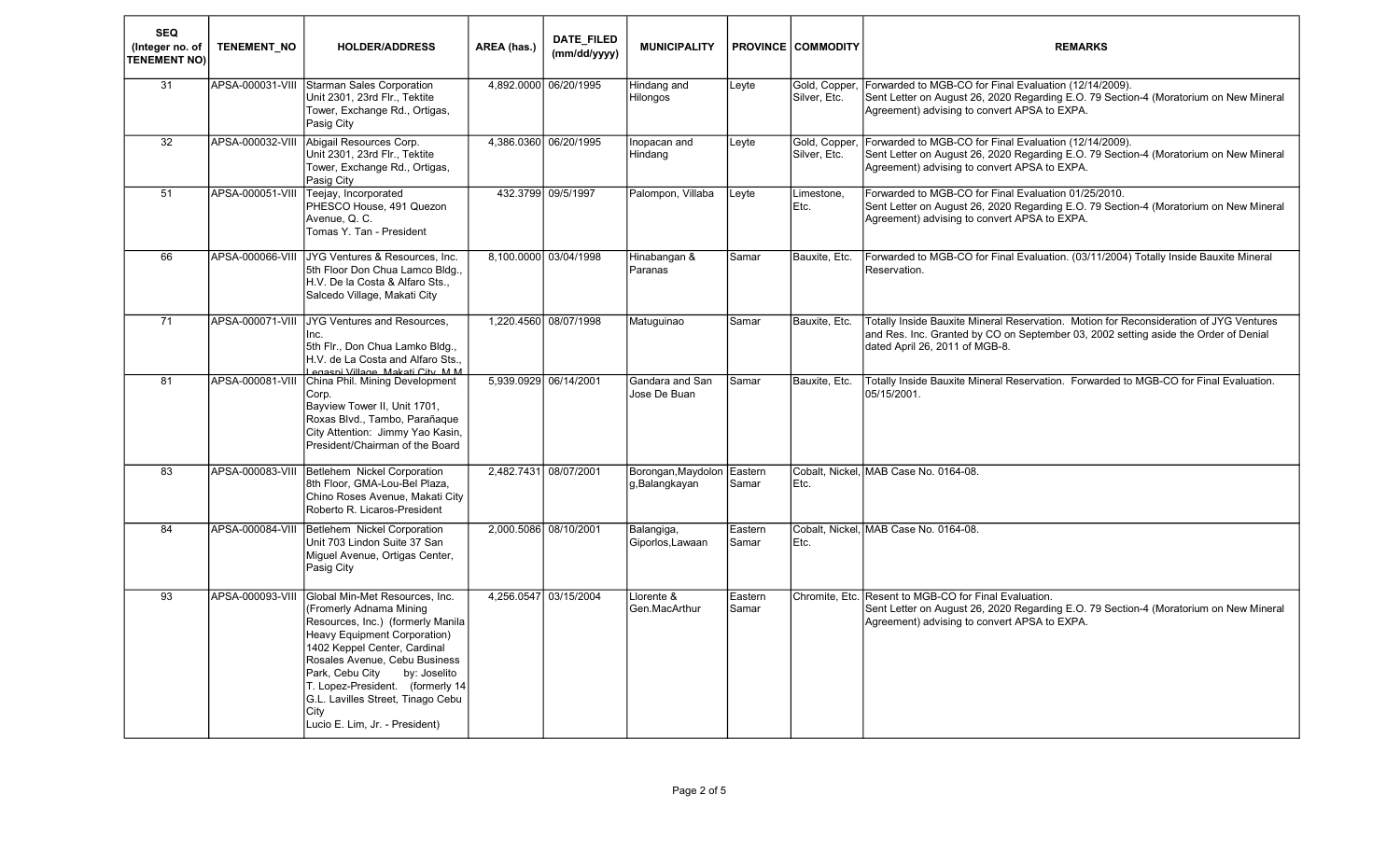| <b>SEQ</b><br>(Integer no. of<br><b>TENEMENT NO)</b> | <b>TENEMENT NO</b> | <b>HOLDER/ADDRESS</b>                                                                                                                                                                                                                                                                                                                                 | AREA (has.) | DATE_FILED<br>(mm/dd/yyyy) | <b>MUNICIPALITY</b>                  |                  | <b>PROVINCE COMMODITY</b> | <b>REMARKS</b>                                                                                                                                                                                                  |
|------------------------------------------------------|--------------------|-------------------------------------------------------------------------------------------------------------------------------------------------------------------------------------------------------------------------------------------------------------------------------------------------------------------------------------------------------|-------------|----------------------------|--------------------------------------|------------------|---------------------------|-----------------------------------------------------------------------------------------------------------------------------------------------------------------------------------------------------------------|
| 31                                                   | APSA-000031-VIII   | <b>Starman Sales Corporation</b><br>Unit 2301, 23rd Flr., Tektite<br>Tower, Exchange Rd., Ortigas,<br>Pasig City                                                                                                                                                                                                                                      |             | 4,892.0000 06/20/1995      | Hindang and<br>Hilongos              | Leyte            | Silver, Etc.              | Gold, Copper,  Forwarded to MGB-CO for Final Evaluation (12/14/2009).<br>Sent Letter on August 26, 2020 Regarding E.O. 79 Section-4 (Moratorium on New Mineral<br>Agreement) advising to convert APSA to EXPA.  |
| 32                                                   | APSA-000032-VIII   | Abigail Resources Corp.<br>Unit 2301, 23rd Flr., Tektite<br>Tower, Exchange Rd., Ortigas,<br>Pasig City                                                                                                                                                                                                                                               |             | 4,386.0360 06/20/1995      | Inopacan and<br>Hindang              | Leyte            | Silver, Etc.              | Gold, Copper, Forwarded to MGB-CO for Final Evaluation (12/14/2009).<br>Sent Letter on August 26, 2020 Regarding E.O. 79 Section-4 (Moratorium on New Mineral<br>Agreement) advising to convert APSA to EXPA.   |
| 51                                                   | APSA-000051-VIII   | Teejay, Incorporated<br>PHESCO House, 491 Quezon<br>Avenue, Q. C.<br>Tomas Y. Tan - President                                                                                                                                                                                                                                                         |             | 432.3799 09/5/1997         | Palompon, Villaba                    | Leyte            | Limestone,<br>Etc.        | Forwarded to MGB-CO for Final Evaluation 01/25/2010.<br>Sent Letter on August 26, 2020 Regarding E.O. 79 Section-4 (Moratorium on New Mineral<br>Agreement) advising to convert APSA to EXPA.                   |
| 66                                                   | APSA-000066-VIII   | JYG Ventures & Resources, Inc.<br>5th Floor Don Chua Lamco Bldg.,<br>H.V. De la Costa & Alfaro Sts.,<br>Salcedo Village, Makati City                                                                                                                                                                                                                  |             | 8,100.0000 03/04/1998      | Hinabangan &<br>Paranas              | Samar            | Bauxite, Etc.             | Forwarded to MGB-CO for Final Evaluation. (03/11/2004) Totally Inside Bauxite Mineral<br>Reservation.                                                                                                           |
| 71                                                   | APSA-000071-VIII   | <b>JYG Ventures and Resources,</b><br>Inc.<br>5th Flr., Don Chua Lamko Bldg.,<br>H.V. de La Costa and Alfaro Sts<br>Legasni Village, Makati City, M.M.                                                                                                                                                                                                |             | 1,220.4560 08/07/1998      | Matuquinao                           | Samar            | Bauxite, Etc.             | Totally Inside Bauxite Mineral Reservation. Motion for Reconsideration of JYG Ventures<br>and Res. Inc. Granted by CO on September 03, 2002 setting aside the Order of Denial<br>dated April 26, 2011 of MGB-8. |
| 81                                                   | APSA-000081-VIII   | China Phil. Mining Development<br>Corp.<br>Bayview Tower II, Unit 1701,<br>Roxas Blvd., Tambo, Parañaque<br>City Attention: Jimmy Yao Kasin,<br>President/Chairman of the Board                                                                                                                                                                       |             | 5,939.0929 06/14/2001      | Gandara and San<br>Jose De Buan      | Samar            | Bauxite, Etc.             | Totally Inside Bauxite Mineral Reservation. Forwarded to MGB-CO for Final Evaluation.<br>05/15/2001.                                                                                                            |
| $\overline{83}$                                      | APSA-000083-VIII   | Betlehem Nickel Corporation<br>8th Floor, GMA-Lou-Bel Plaza,<br>Chino Roses Avenue, Makati City<br>Roberto R. Licaros-President                                                                                                                                                                                                                       |             | 2,482.7431 08/07/2001      | Borongan, Maydolon<br>g, Balangkayan | Eastern<br>Samar | Etc.                      | Cobalt, Nickel, MAB Case No. 0164-08.                                                                                                                                                                           |
| 84                                                   | APSA-000084-VIII   | Betlehem Nickel Corporation<br>Unit 703 Lindon Suite 37 San<br>Miguel Avenue, Ortigas Center,<br>Pasig City                                                                                                                                                                                                                                           |             | 2,000.5086 08/10/2001      | Balangiga,<br>Giporlos, Lawaan       | Eastern<br>Samar | Etc.                      | Cobalt, Nickel. MAB Case No. 0164-08.                                                                                                                                                                           |
| 93                                                   | APSA-000093-VIII   | Global Min-Met Resources, Inc.<br>(Fromerly Adnama Mining<br>Resources, Inc.) (formerly Manila<br>Heavy Equipment Corporation)<br>1402 Keppel Center, Cardinal<br>Rosales Avenue, Cebu Business<br>Park, Cebu City<br>by: Joselito<br>T. Lopez-President. (formerly 14<br>G.L. Lavilles Street, Tinago Cebu<br>City<br>Lucio E. Lim, Jr. - President) |             | 4,256.0547 03/15/2004      | Llorente &<br>Gen.MacArthur          | Eastern<br>Samar |                           | Chromite, Etc. Resent to MGB-CO for Final Evaluation.<br>Sent Letter on August 26, 2020 Regarding E.O. 79 Section-4 (Moratorium on New Mineral<br>Agreement) advising to convert APSA to EXPA.                  |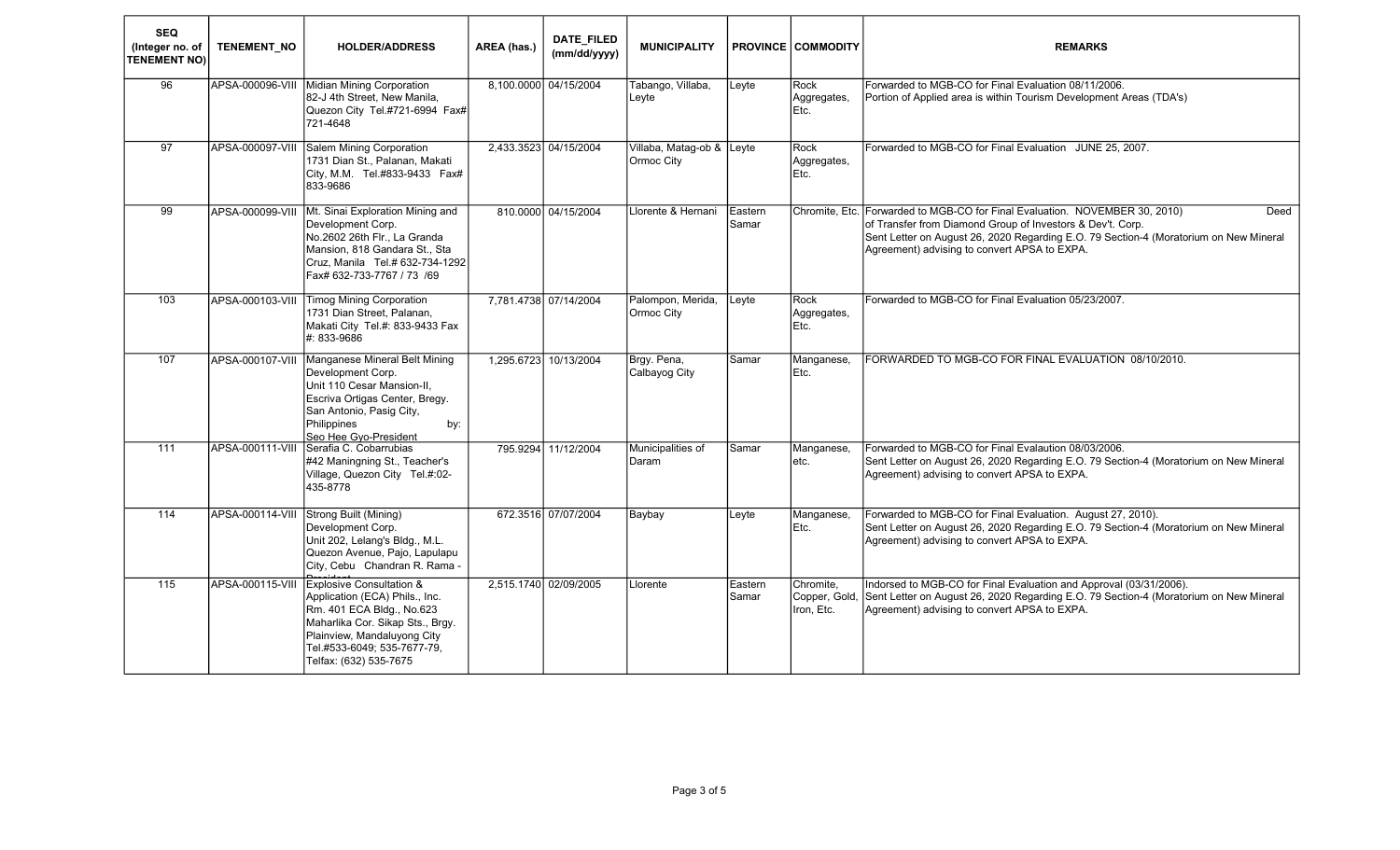| <b>SEQ</b><br>(Integer no. of<br><b>TENEMENT NO)</b> | <b>TENEMENT NO</b> | <b>HOLDER/ADDRESS</b>                                                                                                                                                                                                          | AREA (has.) | DATE_FILED<br>(mm/dd/yyyy) | <b>MUNICIPALITY</b>                     |                  | <b>PROVINCE COMMODITY</b>   | <b>REMARKS</b>                                                                                                                                                                                                                                                                             |
|------------------------------------------------------|--------------------|--------------------------------------------------------------------------------------------------------------------------------------------------------------------------------------------------------------------------------|-------------|----------------------------|-----------------------------------------|------------------|-----------------------------|--------------------------------------------------------------------------------------------------------------------------------------------------------------------------------------------------------------------------------------------------------------------------------------------|
| 96                                                   | APSA-000096-VIII   | Midian Mining Corporation<br>82-J 4th Street, New Manila,<br>Quezon City Tel.#721-6994 Fax#<br>721-4648                                                                                                                        |             | 8,100.0000 04/15/2004      | Tabango, Villaba,<br>Leyte              | Leyte            | Rock<br>Aggregates,<br>Etc. | Forwarded to MGB-CO for Final Evaluation 08/11/2006.<br>Portion of Applied area is within Tourism Development Areas (TDA's)                                                                                                                                                                |
| $\overline{97}$                                      |                    | APSA-000097-VIII Salem Mining Corporation<br>1731 Dian St., Palanan, Makati<br>City, M.M. Tel.#833-9433 Fax#<br>833-9686                                                                                                       |             | 2,433.3523 04/15/2004      | Villaba, Matag-ob & Leyte<br>Ormoc City |                  | Rock<br>Aggregates,<br>Etc. | Forwarded to MGB-CO for Final Evaluation JUNE 25, 2007.                                                                                                                                                                                                                                    |
| 99                                                   | APSA-000099-VIII   | Mt. Sinai Exploration Mining and<br>Development Corp.<br>No.2602 26th Flr., La Granda<br>Mansion, 818 Gandara St., Sta<br>Cruz, Manila Tel.# 632-734-1292<br>Fax# 632-733-7767 / 73 /69                                        |             | 810.0000 04/15/2004        | Llorente & Hernani                      | Eastern<br>Samar |                             | Chromite, Etc. Forwarded to MGB-CO for Final Evaluation. NOVEMBER 30, 2010)<br>Deed<br>of Transfer from Diamond Group of Investors & Dev't. Corp.<br>Sent Letter on August 26, 2020 Regarding E.O. 79 Section-4 (Moratorium on New Mineral<br>Agreement) advising to convert APSA to EXPA. |
| 103                                                  | APSA-000103-VIII   | <b>Timog Mining Corporation</b><br>1731 Dian Street, Palanan,<br>Makati City Tel.#: 833-9433 Fax<br>#: 833-9686                                                                                                                |             | 7,781.4738 07/14/2004      | Palompon, Merida,<br>Ormoc City         | Leyte            | Rock<br>Aggregates,<br>Etc. | Forwarded to MGB-CO for Final Evaluation 05/23/2007.                                                                                                                                                                                                                                       |
| 107                                                  | APSA-000107-VIII   | Manganese Mineral Belt Mining<br>Development Corp.<br>Unit 110 Cesar Mansion-II,<br>Escriva Ortigas Center, Bregy.<br>San Antonio, Pasig City,<br>Philippines<br>by:<br>Seo Hee Gyo-President                                  | 1,295.6723  | 10/13/2004                 | Brgy. Pena,<br>Calbayog City            | Samar            | Manganese,<br>Etc.          | FORWARDED TO MGB-CO FOR FINAL EVALUATION 08/10/2010.                                                                                                                                                                                                                                       |
| 111                                                  | APSA-000111-VIII   | Serafia C. Cobarrubias<br>#42 Maningning St., Teacher's<br>Village, Quezon City Tel.#:02-<br>435-8778                                                                                                                          |             | 795.9294 11/12/2004        | Municipalities of<br>Daram              | Samar            | Manganese,<br>etc.          | Forwarded to MGB-CO for Final Evalaution 08/03/2006.<br>Sent Letter on August 26, 2020 Regarding E.O. 79 Section-4 (Moratorium on New Mineral<br>Agreement) advising to convert APSA to EXPA.                                                                                              |
| 114                                                  | APSA-000114-VIII   | Strong Built (Mining)<br>Development Corp.<br>Unit 202, Lelang's Bldg., M.L.<br>Quezon Avenue, Pajo, Lapulapu<br>City, Cebu Chandran R. Rama -                                                                                 |             | 672.3516 07/07/2004        | <b>Baybay</b>                           | Leyte            | Manganese,<br>Etc.          | Forwarded to MGB-CO for Final Evaluation. August 27, 2010).<br>Sent Letter on August 26, 2020 Regarding E.O. 79 Section-4 (Moratorium on New Mineral<br>Agreement) advising to convert APSA to EXPA.                                                                                       |
| $\overline{115}$                                     | APSA-000115-VIII   | <b>Explosive Consultation &amp;</b><br>Application (ECA) Phils., Inc.<br>Rm. 401 ECA Bldg., No.623<br>Maharlika Cor. Sikap Sts., Brgy.<br>Plainview, Mandaluyong City<br>Tel.#533-6049; 535-7677-79,<br>Telfax: (632) 535-7675 |             | 2,515.1740 02/09/2005      | Llorente                                | Eastern<br>Samar | Chromite,<br>Iron, Etc.     | Indorsed to MGB-CO for Final Evaluation and Approval (03/31/2006).<br>Copper, Gold, Sent Letter on August 26, 2020 Regarding E.O. 79 Section-4 (Moratorium on New Mineral<br>Agreement) advising to convert APSA to EXPA.                                                                  |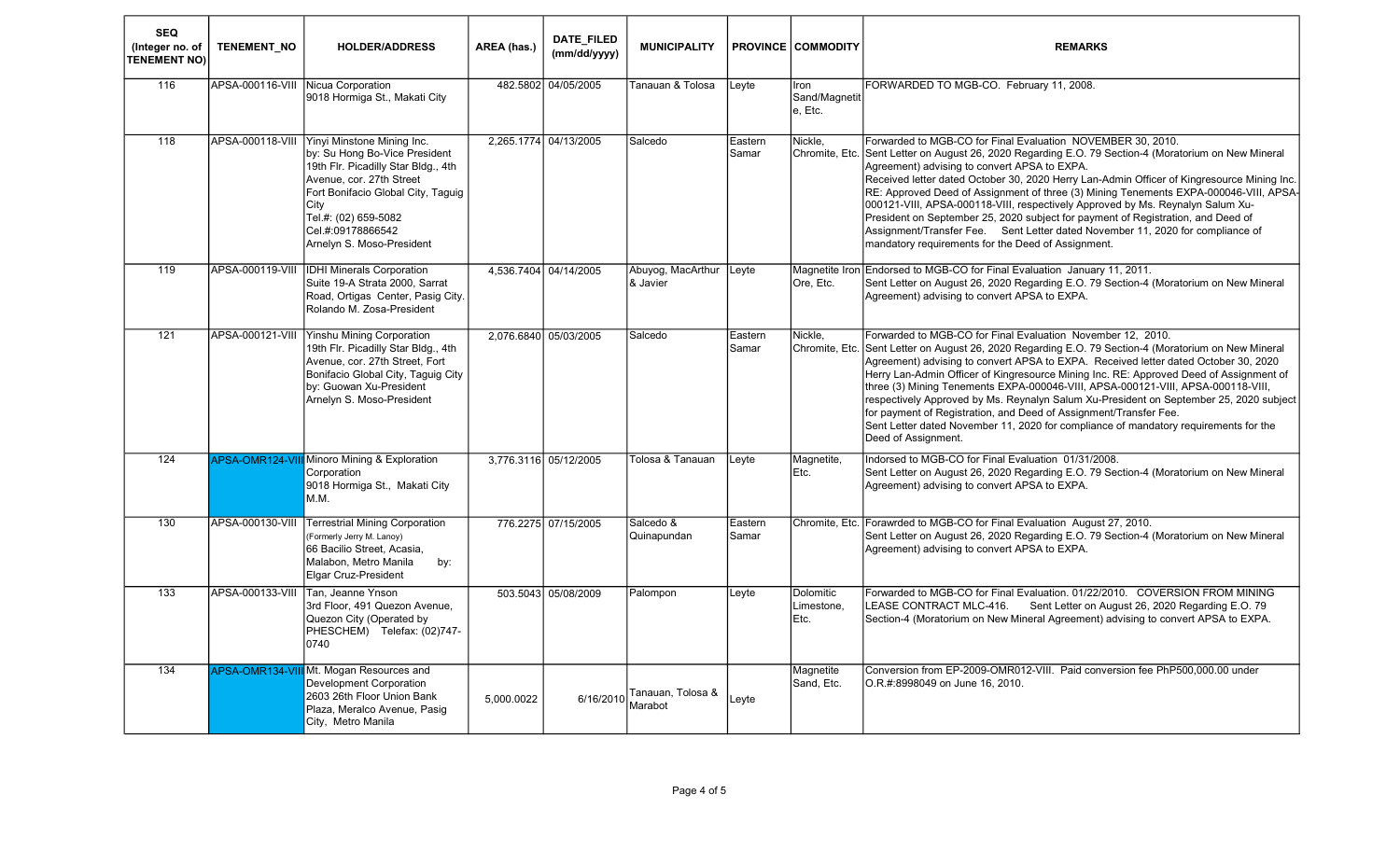| <b>SEQ</b><br>(Integer no. of<br><b>TENEMENT NO)</b> | <b>TENEMENT NO</b> | <b>HOLDER/ADDRESS</b>                                                                                                                                                                                                                                  | AREA (has.) | DATE_FILED<br>(mm/dd/yyyy) | <b>MUNICIPALITY</b>           |                  | <b>PROVINCE COMMODITY</b>        | <b>REMARKS</b>                                                                                                                                                                                                                                                                                                                                                                                                                                                                                                                                                                                                                                                                                                           |
|------------------------------------------------------|--------------------|--------------------------------------------------------------------------------------------------------------------------------------------------------------------------------------------------------------------------------------------------------|-------------|----------------------------|-------------------------------|------------------|----------------------------------|--------------------------------------------------------------------------------------------------------------------------------------------------------------------------------------------------------------------------------------------------------------------------------------------------------------------------------------------------------------------------------------------------------------------------------------------------------------------------------------------------------------------------------------------------------------------------------------------------------------------------------------------------------------------------------------------------------------------------|
| 116                                                  | APSA-000116-VIII   | Nicua Corporation<br>9018 Hormiga St., Makati City                                                                                                                                                                                                     |             | 482.5802 04/05/2005        | Fanauan & Tolosa              | Leyte            | Iron<br>Sand/Magnetit<br>e, Etc. | FORWARDED TO MGB-CO. February 11, 2008.                                                                                                                                                                                                                                                                                                                                                                                                                                                                                                                                                                                                                                                                                  |
| 118                                                  | APSA-000118-VIII   | Yinyi Minstone Mining Inc.<br>by: Su Hong Bo-Vice President<br>19th Flr. Picadilly Star Bldg., 4th<br>Avenue, cor. 27th Street<br>Fort Bonifacio Global City, Taguig<br>City<br>Tel.#: (02) 659-5082<br>Cel.#:09178866542<br>Arnelyn S. Moso-President |             | 2.265.1774 04/13/2005      | Salcedo                       | Eastern<br>Samar | Nickle.                          | Forwarded to MGB-CO for Final Evaluation NOVEMBER 30, 2010.<br>Chromite, Etc. Sent Letter on August 26, 2020 Regarding E.O. 79 Section-4 (Moratorium on New Mineral<br>Agreement) advising to convert APSA to EXPA.<br>Received letter dated October 30, 2020 Herry Lan-Admin Officer of Kingresource Mining Inc.<br>RE: Approved Deed of Assignment of three (3) Mining Tenements EXPA-000046-VIII, APSA-<br>000121-VIII, APSA-000118-VIII, respectively Approved by Ms. Reynalyn Salum Xu-<br>President on September 25, 2020 subject for payment of Registration, and Deed of<br>Assignment/Transfer Fee. Sent Letter dated November 11, 2020 for compliance of<br>mandatory requirements for the Deed of Assignment. |
| 119                                                  | APSA-000119-VIII   | <b>IDHI Minerals Corporation</b><br>Suite 19-A Strata 2000, Sarrat<br>Road, Ortigas Center, Pasig City.<br>Rolando M. Zosa-President                                                                                                                   |             | 4,536.7404 04/14/2005      | Abuyog, MacArthur<br>& Javier | Leyte            | Ore, Etc.                        | Magnetite Iron Endorsed to MGB-CO for Final Evaluation January 11, 2011.<br>Sent Letter on August 26, 2020 Regarding E.O. 79 Section-4 (Moratorium on New Mineral<br>Agreement) advising to convert APSA to EXPA.                                                                                                                                                                                                                                                                                                                                                                                                                                                                                                        |
| 121                                                  | APSA-000121-VIII   | <b>Yinshu Mining Corporation</b><br>19th Flr. Picadilly Star Bldg., 4th<br>Avenue, cor. 27th Street. Fort<br>Bonifacio Global City, Taguig City<br>by: Guowan Xu-President<br>Arnelyn S. Moso-President                                                |             | 2,076.6840 05/03/2005      | Salcedo                       | Eastern<br>Samar | Nickle.                          | Forwarded to MGB-CO for Final Evaluation November 12, 2010.<br>Chromite, Etc. Sent Letter on August 26, 2020 Regarding E.O. 79 Section-4 (Moratorium on New Mineral<br>Agreement) advising to convert APSA to EXPA. Received letter dated October 30, 2020<br>Herry Lan-Admin Officer of Kingresource Mining Inc. RE: Approved Deed of Assignment of<br>three (3) Mining Tenements EXPA-000046-VIII, APSA-000121-VIII, APSA-000118-VIII,<br>respectively Approved by Ms. Reynalyn Salum Xu-President on September 25, 2020 subject<br>for payment of Registration, and Deed of Assignment/Transfer Fee.<br>Sent Letter dated November 11, 2020 for compliance of mandatory requirements for the<br>Deed of Assignment.   |
| 124                                                  | APSA-OMR124-VII    | <b>I</b> Minoro Mining & Exploration<br>Corporation<br>9018 Hormiga St., Makati City<br>M.M.                                                                                                                                                           |             | 3.776.3116 05/12/2005      | Tolosa & Tanauan              | Leyte            | Magnetite,<br>Etc.               | Indorsed to MGB-CO for Final Evaluation 01/31/2008.<br>Sent Letter on August 26, 2020 Regarding E.O. 79 Section-4 (Moratorium on New Mineral<br>Agreement) advising to convert APSA to EXPA.                                                                                                                                                                                                                                                                                                                                                                                                                                                                                                                             |
| 130                                                  | APSA-000130-VIII   | <b>Terrestrial Mining Corporation</b><br>(Formerly Jerry M. Lanoy)<br>66 Bacilio Street, Acasia,<br>Malabon, Metro Manila<br>by:<br>Elgar Cruz-President                                                                                               |             | 776.2275 07/15/2005        | Salcedo &<br>Quinapundan      | Eastern<br>Samar |                                  | Chromite, Etc. Forawrded to MGB-CO for Final Evaluation August 27, 2010.<br>Sent Letter on August 26, 2020 Regarding E.O. 79 Section-4 (Moratorium on New Mineral<br>Agreement) advising to convert APSA to EXPA.                                                                                                                                                                                                                                                                                                                                                                                                                                                                                                        |
| 133                                                  | APSA-000133-VIII   | Tan, Jeanne Ynson<br>3rd Floor, 491 Quezon Avenue.<br>Quezon City (Operated by<br>PHESCHEM) Telefax: (02)747-<br>0740                                                                                                                                  |             | 503.5043 05/08/2009        | Palompon                      | Leyte            | Dolomitic<br>Limestone.<br>Etc.  | Forwarded to MGB-CO for Final Evaluation. 01/22/2010. COVERSION FROM MINING<br>LEASE CONTRACT MLC-416. Sent Letter on August 26, 2020 Regarding E.O. 79<br>Section-4 (Moratorium on New Mineral Agreement) advising to convert APSA to EXPA.                                                                                                                                                                                                                                                                                                                                                                                                                                                                             |
| 134                                                  | APSA-OMR134-VI     | <b>I</b> Mt. Mogan Resources and<br>Development Corporation<br>2603 26th Floor Union Bank<br>Plaza, Meralco Avenue, Pasig<br>City, Metro Manila                                                                                                        | 5,000.0022  | 6/16/2010                  | Tanauan, Tolosa &<br>Marabot  | Leyte            | Magnetite<br>Sand, Etc.          | Conversion from EP-2009-OMR012-VIII. Paid conversion fee PhP500,000.00 under<br>O.R.#:8998049 on June 16, 2010.                                                                                                                                                                                                                                                                                                                                                                                                                                                                                                                                                                                                          |